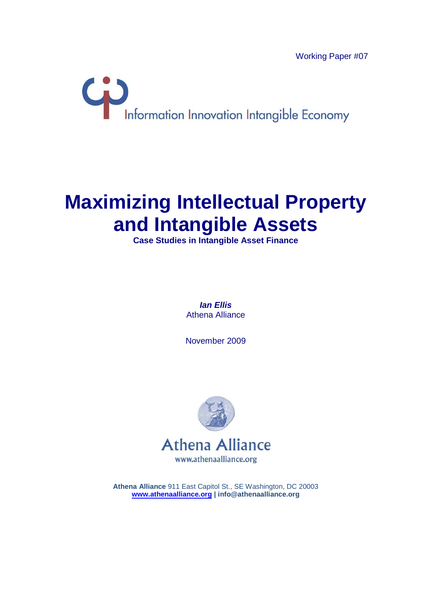Working Paper #07



# **Maximizing Intellectual Property and Intangible Assets**

**Case Studies in Intangible Asset Finance**

**Ian Ellis**  Athena Alliance

November 2009



**Athena Alliance** 911 East Capitol St., SE Washington, DC 20003 **www.athenaalliance.org | info@athenaalliance.org**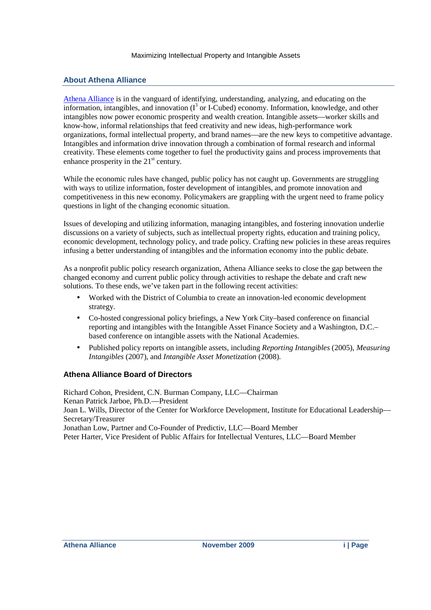### **About Athena Alliance**

Athena Alliance is in the vanguard of identifying, understanding, analyzing, and educating on the information, intangibles, and innovation  $(I^3$  or I-Cubed) economy. Information, knowledge, and other intangibles now power economic prosperity and wealth creation. Intangible assets—worker skills and know-how, informal relationships that feed creativity and new ideas, high-performance work organizations, formal intellectual property, and brand names—are the new keys to competitive advantage. Intangibles and information drive innovation through a combination of formal research and informal creativity. These elements come together to fuel the productivity gains and process improvements that enhance prosperity in the  $21<sup>st</sup>$  century.

While the economic rules have changed, public policy has not caught up. Governments are struggling with ways to utilize information, foster development of intangibles, and promote innovation and competitiveness in this new economy. Policymakers are grappling with the urgent need to frame policy questions in light of the changing economic situation.

Issues of developing and utilizing information, managing intangibles, and fostering innovation underlie discussions on a variety of subjects, such as intellectual property rights, education and training policy, economic development, technology policy, and trade policy. Crafting new policies in these areas requires infusing a better understanding of intangibles and the information economy into the public debate.

As a nonprofit public policy research organization, Athena Alliance seeks to close the gap between the changed economy and current public policy through activities to reshape the debate and craft new solutions. To these ends, we've taken part in the following recent activities:

- Worked with the District of Columbia to create an innovation-led economic development strategy.
- Co-hosted congressional policy briefings, a New York City–based conference on financial reporting and intangibles with the Intangible Asset Finance Society and a Washington, D.C.– based conference on intangible assets with the National Academies.
- Published policy reports on intangible assets, including *Reporting Intangibles* (2005), *Measuring Intangibles* (2007), and *Intangible Asset Monetization* (2008).

### **Athena Alliance Board of Directors**

Richard Cohon, President, C.N. Burman Company, LLC—Chairman Kenan Patrick Jarboe, Ph.D.—President Joan L. Wills, Director of the Center for Workforce Development, Institute for Educational Leadership— Secretary/Treasurer Jonathan Low, Partner and Co-Founder of Predictiv, LLC—Board Member Peter Harter, Vice President of Public Affairs for Intellectual Ventures, LLC—Board Member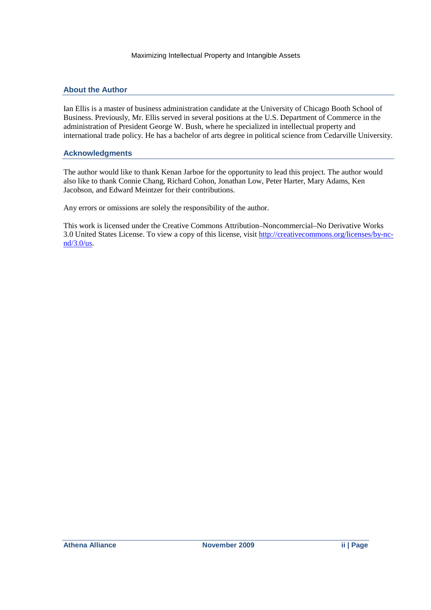#### **About the Author**

Ian Ellis is a master of business administration candidate at the University of Chicago Booth School of Business. Previously, Mr. Ellis served in several positions at the U.S. Department of Commerce in the administration of President George W. Bush, where he specialized in intellectual property and international trade policy. He has a bachelor of arts degree in political science from Cedarville University.

#### **Acknowledgments**

The author would like to thank Kenan Jarboe for the opportunity to lead this project. The author would also like to thank Connie Chang, Richard Cohon, Jonathan Low, Peter Harter, Mary Adams, Ken Jacobson, and Edward Meintzer for their contributions.

Any errors or omissions are solely the responsibility of the author.

This work is licensed under the Creative Commons Attribution–Noncommercial–No Derivative Works 3.0 United States License. To view a copy of this license, visit http://creativecommons.org/licenses/by-ncnd/3.0/us.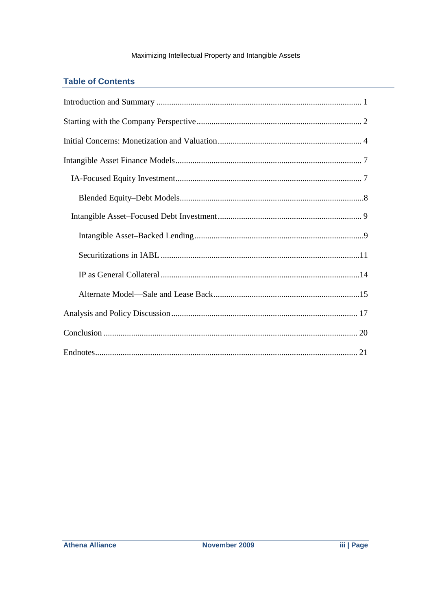### **Table of Contents**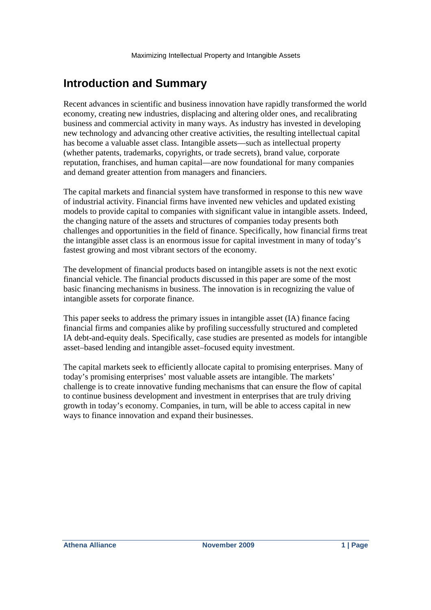# **Introduction and Summary**

Recent advances in scientific and business innovation have rapidly transformed the world economy, creating new industries, displacing and altering older ones, and recalibrating business and commercial activity in many ways. As industry has invested in developing new technology and advancing other creative activities, the resulting intellectual capital has become a valuable asset class. Intangible assets—such as intellectual property (whether patents, trademarks, copyrights, or trade secrets), brand value, corporate reputation, franchises, and human capital—are now foundational for many companies and demand greater attention from managers and financiers.

The capital markets and financial system have transformed in response to this new wave of industrial activity. Financial firms have invented new vehicles and updated existing models to provide capital to companies with significant value in intangible assets. Indeed, the changing nature of the assets and structures of companies today presents both challenges and opportunities in the field of finance. Specifically, how financial firms treat the intangible asset class is an enormous issue for capital investment in many of today's fastest growing and most vibrant sectors of the economy.

The development of financial products based on intangible assets is not the next exotic financial vehicle. The financial products discussed in this paper are some of the most basic financing mechanisms in business. The innovation is in recognizing the value of intangible assets for corporate finance.

This paper seeks to address the primary issues in intangible asset (IA) finance facing financial firms and companies alike by profiling successfully structured and completed IA debt-and-equity deals. Specifically, case studies are presented as models for intangible asset–based lending and intangible asset–focused equity investment.

The capital markets seek to efficiently allocate capital to promising enterprises. Many of today's promising enterprises' most valuable assets are intangible. The markets' challenge is to create innovative funding mechanisms that can ensure the flow of capital to continue business development and investment in enterprises that are truly driving growth in today's economy. Companies, in turn, will be able to access capital in new ways to finance innovation and expand their businesses.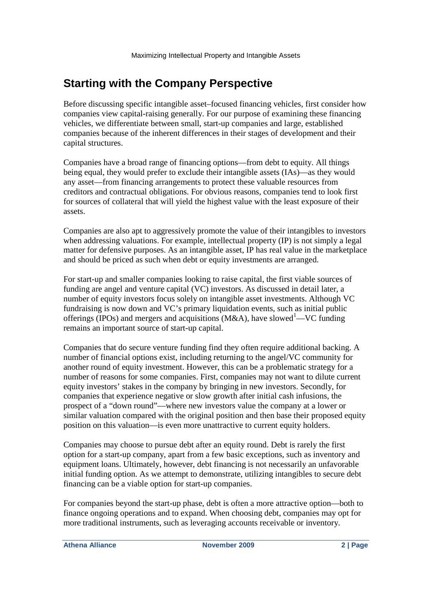# **Starting with the Company Perspective**

Before discussing specific intangible asset–focused financing vehicles, first consider how companies view capital-raising generally. For our purpose of examining these financing vehicles, we differentiate between small, start-up companies and large, established companies because of the inherent differences in their stages of development and their capital structures.

Companies have a broad range of financing options—from debt to equity. All things being equal, they would prefer to exclude their intangible assets (IAs)—as they would any asset—from financing arrangements to protect these valuable resources from creditors and contractual obligations. For obvious reasons, companies tend to look first for sources of collateral that will yield the highest value with the least exposure of their assets.

Companies are also apt to aggressively promote the value of their intangibles to investors when addressing valuations. For example, intellectual property (IP) is not simply a legal matter for defensive purposes. As an intangible asset, IP has real value in the marketplace and should be priced as such when debt or equity investments are arranged.

For start-up and smaller companies looking to raise capital, the first viable sources of funding are angel and venture capital (VC) investors. As discussed in detail later, a number of equity investors focus solely on intangible asset investments. Although VC fundraising is now down and VC's primary liquidation events, such as initial public offerings (IPOs) and mergers and acquisitions (M&A), have slowed<sup>1</sup>—VC funding remains an important source of start-up capital.

Companies that do secure venture funding find they often require additional backing. A number of financial options exist, including returning to the angel/VC community for another round of equity investment. However, this can be a problematic strategy for a number of reasons for some companies. First, companies may not want to dilute current equity investors' stakes in the company by bringing in new investors. Secondly, for companies that experience negative or slow growth after initial cash infusions, the prospect of a "down round"—where new investors value the company at a lower or similar valuation compared with the original position and then base their proposed equity position on this valuation—is even more unattractive to current equity holders.

Companies may choose to pursue debt after an equity round. Debt is rarely the first option for a start-up company, apart from a few basic exceptions, such as inventory and equipment loans. Ultimately, however, debt financing is not necessarily an unfavorable initial funding option. As we attempt to demonstrate, utilizing intangibles to secure debt financing can be a viable option for start-up companies.

For companies beyond the start-up phase, debt is often a more attractive option—both to finance ongoing operations and to expand. When choosing debt, companies may opt for more traditional instruments, such as leveraging accounts receivable or inventory.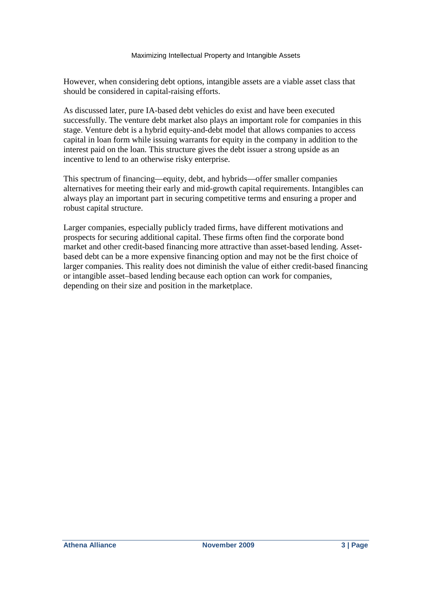However, when considering debt options, intangible assets are a viable asset class that should be considered in capital-raising efforts.

As discussed later, pure IA-based debt vehicles do exist and have been executed successfully. The venture debt market also plays an important role for companies in this stage. Venture debt is a hybrid equity-and-debt model that allows companies to access capital in loan form while issuing warrants for equity in the company in addition to the interest paid on the loan. This structure gives the debt issuer a strong upside as an incentive to lend to an otherwise risky enterprise.

This spectrum of financing—equity, debt, and hybrids—offer smaller companies alternatives for meeting their early and mid-growth capital requirements. Intangibles can always play an important part in securing competitive terms and ensuring a proper and robust capital structure.

Larger companies, especially publicly traded firms, have different motivations and prospects for securing additional capital. These firms often find the corporate bond market and other credit-based financing more attractive than asset-based lending. Assetbased debt can be a more expensive financing option and may not be the first choice of larger companies. This reality does not diminish the value of either credit-based financing or intangible asset–based lending because each option can work for companies, depending on their size and position in the marketplace.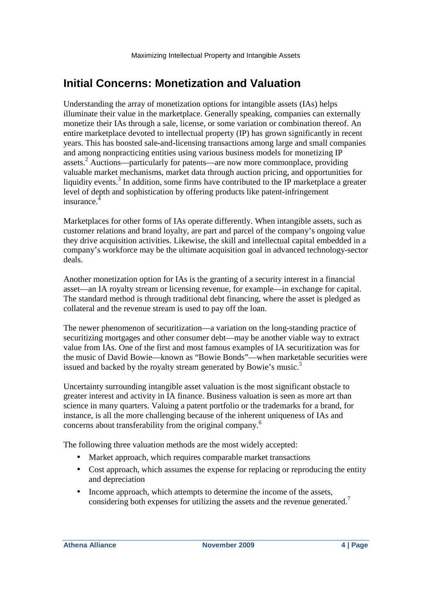## **Initial Concerns: Monetization and Valuation**

Understanding the array of monetization options for intangible assets (IAs) helps illuminate their value in the marketplace. Generally speaking, companies can externally monetize their IAs through a sale, license, or some variation or combination thereof. An entire marketplace devoted to intellectual property (IP) has grown significantly in recent years. This has boosted sale-and-licensing transactions among large and small companies and among nonpracticing entities using various business models for monetizing IP assets.<sup>2</sup> Auctions—particularly for patents—are now more commonplace, providing valuable market mechanisms, market data through auction pricing, and opportunities for liquidity events.<sup>3</sup> In addition, some firms have contributed to the IP marketplace a greater level of depth and sophistication by offering products like patent-infringement insurance.<sup>4</sup>

Marketplaces for other forms of IAs operate differently. When intangible assets, such as customer relations and brand loyalty, are part and parcel of the company's ongoing value they drive acquisition activities. Likewise, the skill and intellectual capital embedded in a company's workforce may be the ultimate acquisition goal in advanced technology-sector deals.

Another monetization option for IAs is the granting of a security interest in a financial asset—an IA royalty stream or licensing revenue, for example—in exchange for capital. The standard method is through traditional debt financing, where the asset is pledged as collateral and the revenue stream is used to pay off the loan.

The newer phenomenon of securitization—a variation on the long-standing practice of securitizing mortgages and other consumer debt—may be another viable way to extract value from IAs. One of the first and most famous examples of IA securitization was for the music of David Bowie—known as "Bowie Bonds"—when marketable securities were issued and backed by the royalty stream generated by Bowie's music.<sup>5</sup>

Uncertainty surrounding intangible asset valuation is the most significant obstacle to greater interest and activity in IA finance. Business valuation is seen as more art than science in many quarters. Valuing a patent portfolio or the trademarks for a brand, for instance, is all the more challenging because of the inherent uniqueness of IAs and concerns about transferability from the original company.<sup>6</sup>

The following three valuation methods are the most widely accepted:

- Market approach, which requires comparable market transactions
- Cost approach, which assumes the expense for replacing or reproducing the entity and depreciation
- Income approach, which attempts to determine the income of the assets, considering both expenses for utilizing the assets and the revenue generated.<sup>7</sup>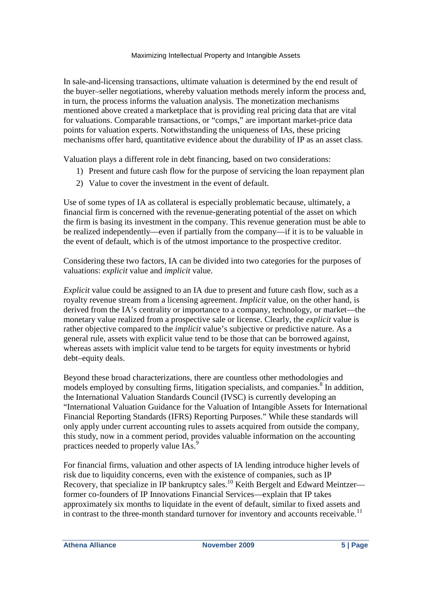In sale-and-licensing transactions, ultimate valuation is determined by the end result of the buyer–seller negotiations, whereby valuation methods merely inform the process and, in turn, the process informs the valuation analysis. The monetization mechanisms mentioned above created a marketplace that is providing real pricing data that are vital for valuations. Comparable transactions, or "comps," are important market-price data points for valuation experts. Notwithstanding the uniqueness of IAs, these pricing mechanisms offer hard, quantitative evidence about the durability of IP as an asset class.

Valuation plays a different role in debt financing, based on two considerations:

- 1) Present and future cash flow for the purpose of servicing the loan repayment plan
- 2) Value to cover the investment in the event of default.

Use of some types of IA as collateral is especially problematic because, ultimately, a financial firm is concerned with the revenue-generating potential of the asset on which the firm is basing its investment in the company. This revenue generation must be able to be realized independently—even if partially from the company—if it is to be valuable in the event of default, which is of the utmost importance to the prospective creditor.

Considering these two factors, IA can be divided into two categories for the purposes of valuations: *explicit* value and *implicit* value.

*Explicit* value could be assigned to an IA due to present and future cash flow, such as a royalty revenue stream from a licensing agreement. *Implicit* value, on the other hand, is derived from the IA's centrality or importance to a company, technology, or market—the monetary value realized from a prospective sale or license. Clearly, the *explicit* value is rather objective compared to the *implicit* value's subjective or predictive nature. As a general rule, assets with explicit value tend to be those that can be borrowed against, whereas assets with implicit value tend to be targets for equity investments or hybrid debt–equity deals.

Beyond these broad characterizations, there are countless other methodologies and models employed by consulting firms, litigation specialists, and companies.<sup>8</sup> In addition, the International Valuation Standards Council (IVSC) is currently developing an "International Valuation Guidance for the Valuation of Intangible Assets for International Financial Reporting Standards (IFRS) Reporting Purposes." While these standards will only apply under current accounting rules to assets acquired from outside the company, this study, now in a comment period, provides valuable information on the accounting practices needed to properly value IAs.<sup>9</sup>

For financial firms, valuation and other aspects of IA lending introduce higher levels of risk due to liquidity concerns, even with the existence of companies, such as IP Recovery, that specialize in IP bankruptcy sales.<sup>10</sup> Keith Bergelt and Edward Meintzer former co-founders of IP Innovations Financial Services—explain that IP takes approximately six months to liquidate in the event of default, similar to fixed assets and in contrast to the three-month standard turnover for inventory and accounts receivable.<sup>11</sup>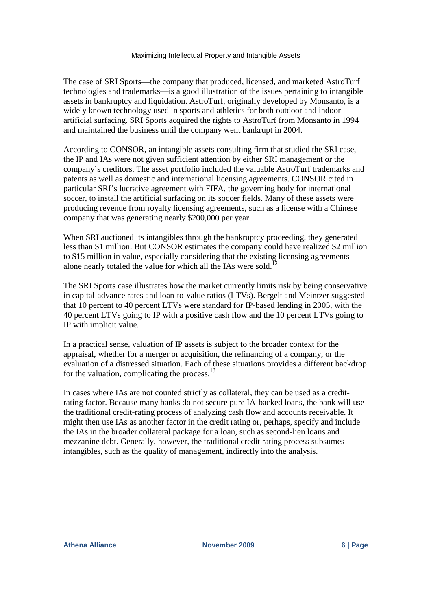The case of SRI Sports—the company that produced, licensed, and marketed AstroTurf technologies and trademarks—is a good illustration of the issues pertaining to intangible assets in bankruptcy and liquidation. AstroTurf, originally developed by Monsanto, is a widely known technology used in sports and athletics for both outdoor and indoor artificial surfacing. SRI Sports acquired the rights to AstroTurf from Monsanto in 1994 and maintained the business until the company went bankrupt in 2004.

According to CONSOR, an intangible assets consulting firm that studied the SRI case, the IP and IAs were not given sufficient attention by either SRI management or the company's creditors. The asset portfolio included the valuable AstroTurf trademarks and patents as well as domestic and international licensing agreements. CONSOR cited in particular SRI's lucrative agreement with FIFA, the governing body for international soccer, to install the artificial surfacing on its soccer fields. Many of these assets were producing revenue from royalty licensing agreements, such as a license with a Chinese company that was generating nearly \$200,000 per year.

When SRI auctioned its intangibles through the bankruptcy proceeding, they generated less than \$1 million. But CONSOR estimates the company could have realized \$2 million to \$15 million in value, especially considering that the existing licensing agreements alone nearly totaled the value for which all the IAs were sold.<sup>1</sup>

The SRI Sports case illustrates how the market currently limits risk by being conservative in capital-advance rates and loan-to-value ratios (LTVs). Bergelt and Meintzer suggested that 10 percent to 40 percent LTVs were standard for IP-based lending in 2005, with the 40 percent LTVs going to IP with a positive cash flow and the 10 percent LTVs going to IP with implicit value.

In a practical sense, valuation of IP assets is subject to the broader context for the appraisal, whether for a merger or acquisition, the refinancing of a company, or the evaluation of a distressed situation. Each of these situations provides a different backdrop for the valuation, complicating the process. $^{13}$ 

In cases where IAs are not counted strictly as collateral, they can be used as a creditrating factor. Because many banks do not secure pure IA-backed loans, the bank will use the traditional credit-rating process of analyzing cash flow and accounts receivable. It might then use IAs as another factor in the credit rating or, perhaps, specify and include the IAs in the broader collateral package for a loan, such as second-lien loans and mezzanine debt. Generally, however, the traditional credit rating process subsumes intangibles, such as the quality of management, indirectly into the analysis.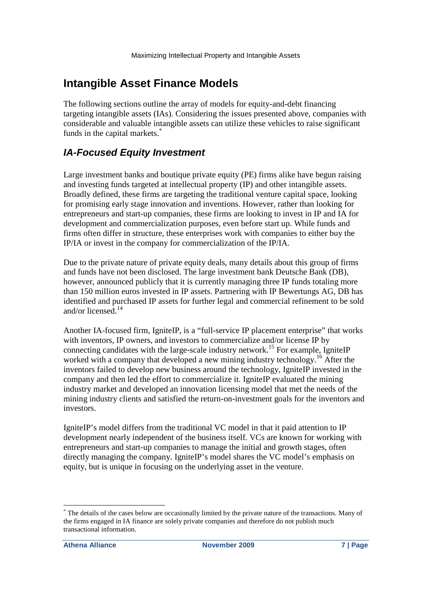# **Intangible Asset Finance Models**

The following sections outline the array of models for equity-and-debt financing targeting intangible assets (IAs). Considering the issues presented above, companies with considerable and valuable intangible assets can utilize these vehicles to raise significant funds in the capital markets.<sup>\*</sup>

### **IA-Focused Equity Investment**

Large investment banks and boutique private equity (PE) firms alike have begun raising and investing funds targeted at intellectual property (IP) and other intangible assets. Broadly defined, these firms are targeting the traditional venture capital space, looking for promising early stage innovation and inventions. However, rather than looking for entrepreneurs and start-up companies, these firms are looking to invest in IP and IA for development and commercialization purposes, even before start up. While funds and firms often differ in structure, these enterprises work with companies to either buy the IP/IA or invest in the company for commercialization of the IP/IA.

Due to the private nature of private equity deals, many details about this group of firms and funds have not been disclosed. The large investment bank Deutsche Bank (DB), however, announced publicly that it is currently managing three IP funds totaling more than 150 million euros invested in IP assets. Partnering with IP Bewertungs AG, DB has identified and purchased IP assets for further legal and commercial refinement to be sold and/or licensed.<sup>14</sup>

Another IA-focused firm, IgniteIP, is a "full-service IP placement enterprise" that works with inventors, IP owners, and investors to commercialize and/or license IP by connecting candidates with the large-scale industry network.<sup>15</sup> For example, IgniteIP worked with a company that developed a new mining industry technology.<sup>16</sup> After the inventors failed to develop new business around the technology, IgniteIP invested in the company and then led the effort to commercialize it. IgniteIP evaluated the mining industry market and developed an innovation licensing model that met the needs of the mining industry clients and satisfied the return-on-investment goals for the inventors and investors.

IgniteIP's model differs from the traditional VC model in that it paid attention to IP development nearly independent of the business itself. VCs are known for working with entrepreneurs and start-up companies to manage the initial and growth stages, often directly managing the company. IgniteIP's model shares the VC model's emphasis on equity, but is unique in focusing on the underlying asset in the venture.

<sup>-</sup>\* The details of the cases below are occasionally limited by the private nature of the transactions. Many of the firms engaged in IA finance are solely private companies and therefore do not publish much transactional information.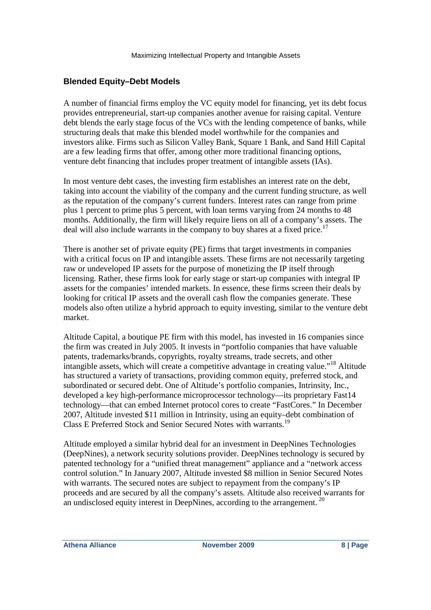### **Blended Equity–Debt Models**

A number of financial firms employ the VC equity model for financing, yet its debt focus provides entrepreneurial, start-up companies another avenue for raising capital. Venture debt blends the early stage focus of the VCs with the lending competence of banks, while structuring deals that make this blended model worthwhile for the companies and investors alike. Firms such as Silicon Valley Bank, Square 1 Bank, and Sand Hill Capital are a few leading firms that offer, among other more traditional financing options, venture debt financing that includes proper treatment of intangible assets (IAs).

In most venture debt cases, the investing firm establishes an interest rate on the debt, taking into account the viability of the company and the current funding structure, as well as the reputation of the company's current funders. Interest rates can range from prime plus 1 percent to prime plus 5 percent, with loan terms varying from 24 months to 48 months. Additionally, the firm will likely require liens on all of a company's assets. The deal will also include warrants in the company to buy shares at a fixed price.<sup>17</sup>

There is another set of private equity (PE) firms that target investments in companies with a critical focus on IP and intangible assets. These firms are not necessarily targeting raw or undeveloped IP assets for the purpose of monetizing the IP itself through licensing. Rather, these firms look for early stage or start-up companies with integral IP assets for the companies' intended markets. In essence, these firms screen their deals by looking for critical IP assets and the overall cash flow the companies generate. These models also often utilize a hybrid approach to equity investing, similar to the venture debt market.

Altitude Capital, a boutique PE firm with this model, has invested in 16 companies since the firm was created in July 2005. It invests in "portfolio companies that have valuable patents, trademarks/brands, copyrights, royalty streams, trade secrets, and other intangible assets, which will create a competitive advantage in creating value."<sup>18</sup> Altitude has structured a variety of transactions, providing common equity, preferred stock, and subordinated or secured debt. One of Altitude's portfolio companies, Intrinsity, Inc., developed a key high-performance microprocessor technology—its proprietary Fast14 technology—that can embed Internet protocol cores to create "FastCores." In December 2007, Altitude invested \$11 million in Intrinsity, using an equity–debt combination of Class E Preferred Stock and Senior Secured Notes with warrants.<sup>19</sup>

Altitude employed a similar hybrid deal for an investment in DeepNines Technologies (DeepNines), a network security solutions provider. DeepNines technology is secured by patented technology for a "unified threat management" appliance and a "network access control solution." In January 2007, Altitude invested \$8 million in Senior Secured Notes with warrants. The secured notes are subject to repayment from the company's IP proceeds and are secured by all the company's assets. Altitude also received warrants for an undisclosed equity interest in DeepNines, according to the arrangement.<sup>20</sup>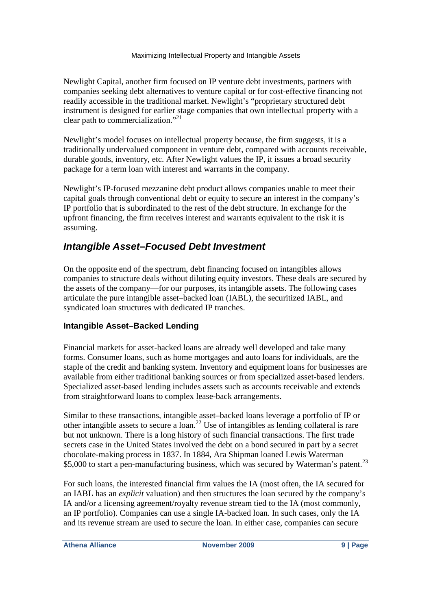Newlight Capital, another firm focused on IP venture debt investments, partners with companies seeking debt alternatives to venture capital or for cost-effective financing not readily accessible in the traditional market. Newlight's "proprietary structured debt instrument is designed for earlier stage companies that own intellectual property with a clear path to commercialization."<sup>21</sup>

Newlight's model focuses on intellectual property because, the firm suggests, it is a traditionally undervalued component in venture debt, compared with accounts receivable, durable goods, inventory, etc. After Newlight values the IP, it issues a broad security package for a term loan with interest and warrants in the company.

Newlight's IP-focused mezzanine debt product allows companies unable to meet their capital goals through conventional debt or equity to secure an interest in the company's IP portfolio that is subordinated to the rest of the debt structure. In exchange for the upfront financing, the firm receives interest and warrants equivalent to the risk it is assuming.

### **Intangible Asset–Focused Debt Investment**

On the opposite end of the spectrum, debt financing focused on intangibles allows companies to structure deals without diluting equity investors. These deals are secured by the assets of the company—for our purposes, its intangible assets. The following cases articulate the pure intangible asset–backed loan (IABL), the securitized IABL, and syndicated loan structures with dedicated IP tranches.

### **Intangible Asset–Backed Lending**

Financial markets for asset-backed loans are already well developed and take many forms. Consumer loans, such as home mortgages and auto loans for individuals, are the staple of the credit and banking system. Inventory and equipment loans for businesses are available from either traditional banking sources or from specialized asset-based lenders. Specialized asset-based lending includes assets such as accounts receivable and extends from straightforward loans to complex lease-back arrangements.

Similar to these transactions, intangible asset–backed loans leverage a portfolio of IP or other intangible assets to secure a  $\arccos 2$ <sup>22</sup> Use of intangibles as lending collateral is rare but not unknown. There is a long history of such financial transactions. The first trade secrets case in the United States involved the debt on a bond secured in part by a secret chocolate-making process in 1837. In 1884, Ara Shipman loaned Lewis Waterman \$5,000 to start a pen-manufacturing business, which was secured by Waterman's patent.<sup>23</sup>

For such loans, the interested financial firm values the IA (most often, the IA secured for an IABL has an *explicit* valuation) and then structures the loan secured by the company's IA and/or a licensing agreement/royalty revenue stream tied to the IA (most commonly, an IP portfolio). Companies can use a single IA-backed loan. In such cases, only the IA and its revenue stream are used to secure the loan. In either case, companies can secure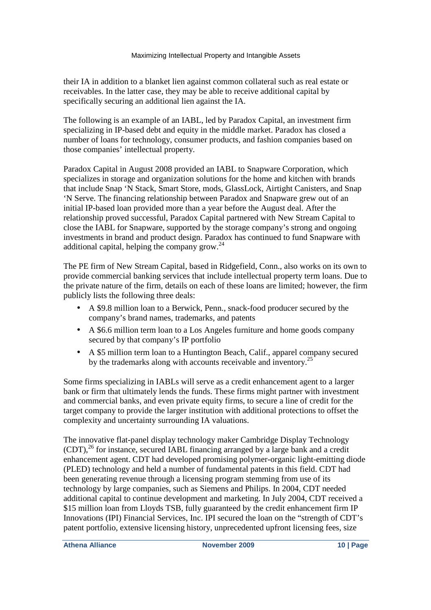their IA in addition to a blanket lien against common collateral such as real estate or receivables. In the latter case, they may be able to receive additional capital by specifically securing an additional lien against the IA.

The following is an example of an IABL, led by Paradox Capital, an investment firm specializing in IP-based debt and equity in the middle market. Paradox has closed a number of loans for technology, consumer products, and fashion companies based on those companies' intellectual property.

Paradox Capital in August 2008 provided an IABL to Snapware Corporation, which specializes in storage and organization solutions for the home and kitchen with brands that include Snap 'N Stack, Smart Store, mods, GlassLock, Airtight Canisters, and Snap 'N Serve. The financing relationship between Paradox and Snapware grew out of an initial IP-based loan provided more than a year before the August deal. After the relationship proved successful, Paradox Capital partnered with New Stream Capital to close the IABL for Snapware, supported by the storage company's strong and ongoing investments in brand and product design. Paradox has continued to fund Snapware with additional capital, helping the company grow. $^{24}$ 

The PE firm of New Stream Capital, based in Ridgefield, Conn., also works on its own to provide commercial banking services that include intellectual property term loans. Due to the private nature of the firm, details on each of these loans are limited; however, the firm publicly lists the following three deals:

- A \$9.8 million loan to a Berwick, Penn., snack-food producer secured by the company's brand names, trademarks, and patents
- A \$6.6 million term loan to a Los Angeles furniture and home goods company secured by that company's IP portfolio
- A \$5 million term loan to a Huntington Beach, Calif., apparel company secured by the trademarks along with accounts receivable and inventory.<sup>25</sup>

Some firms specializing in IABLs will serve as a credit enhancement agent to a larger bank or firm that ultimately lends the funds. These firms might partner with investment and commercial banks, and even private equity firms, to secure a line of credit for the target company to provide the larger institution with additional protections to offset the complexity and uncertainty surrounding IA valuations.

The innovative flat-panel display technology maker Cambridge Display Technology  $(CDT)$ ,<sup>26</sup> for instance, secured IABL financing arranged by a large bank and a credit enhancement agent. CDT had developed promising polymer-organic light-emitting diode (PLED) technology and held a number of fundamental patents in this field. CDT had been generating revenue through a licensing program stemming from use of its technology by large companies, such as Siemens and Philips. In 2004, CDT needed additional capital to continue development and marketing. In July 2004, CDT received a \$15 million loan from Lloyds TSB, fully guaranteed by the credit enhancement firm IP Innovations (IPI) Financial Services, Inc. IPI secured the loan on the "strength of CDT's patent portfolio, extensive licensing history, unprecedented upfront licensing fees, size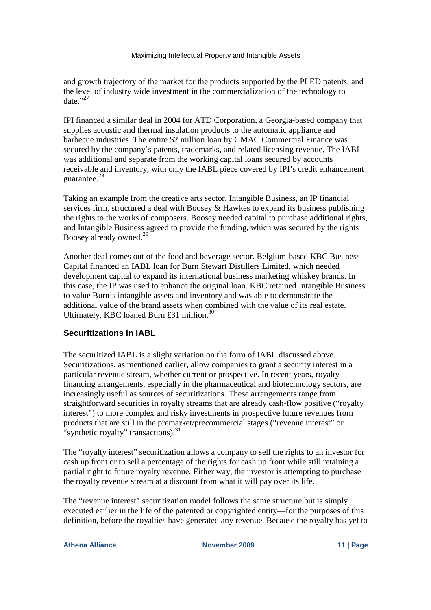and growth trajectory of the market for the products supported by the PLED patents, and the level of industry wide investment in the commercialization of the technology to date  $^{,27}$ 

IPI financed a similar deal in 2004 for ATD Corporation, a Georgia-based company that supplies acoustic and thermal insulation products to the automatic appliance and barbecue industries. The entire \$2 million loan by GMAC Commercial Finance was secured by the company's patents, trademarks, and related licensing revenue. The IABL was additional and separate from the working capital loans secured by accounts receivable and inventory, with only the IABL piece covered by IPI's credit enhancement guarantee.<sup>28</sup>

Taking an example from the creative arts sector, Intangible Business, an IP financial services firm, structured a deal with Boosey & Hawkes to expand its business publishing the rights to the works of composers. Boosey needed capital to purchase additional rights, and Intangible Business agreed to provide the funding, which was secured by the rights Boosey already owned.<sup>29</sup>

Another deal comes out of the food and beverage sector. Belgium-based KBC Business Capital financed an IABL loan for Burn Stewart Distillers Limited, which needed development capital to expand its international business marketing whiskey brands. In this case, the IP was used to enhance the original loan. KBC retained Intangible Business to value Burn's intangible assets and inventory and was able to demonstrate the additional value of the brand assets when combined with the value of its real estate. Ultimately, KBC loaned Burn £31 million.<sup>30</sup>

### **Securitizations in IABL**

The securitized IABL is a slight variation on the form of IABL discussed above. Securitizations, as mentioned earlier, allow companies to grant a security interest in a particular revenue stream, whether current or prospective. In recent years, royalty financing arrangements, especially in the pharmaceutical and biotechnology sectors, are increasingly useful as sources of securitizations. These arrangements range from straightforward securities in royalty streams that are already cash-flow positive ("royalty interest") to more complex and risky investments in prospective future revenues from products that are still in the premarket/precommercial stages ("revenue interest" or "synthetic royalty" transactions). $31$ 

The "royalty interest" securitization allows a company to sell the rights to an investor for cash up front or to sell a percentage of the rights for cash up front while still retaining a partial right to future royalty revenue. Either way, the investor is attempting to purchase the royalty revenue stream at a discount from what it will pay over its life.

The "revenue interest" securitization model follows the same structure but is simply executed earlier in the life of the patented or copyrighted entity—for the purposes of this definition, before the royalties have generated any revenue. Because the royalty has yet to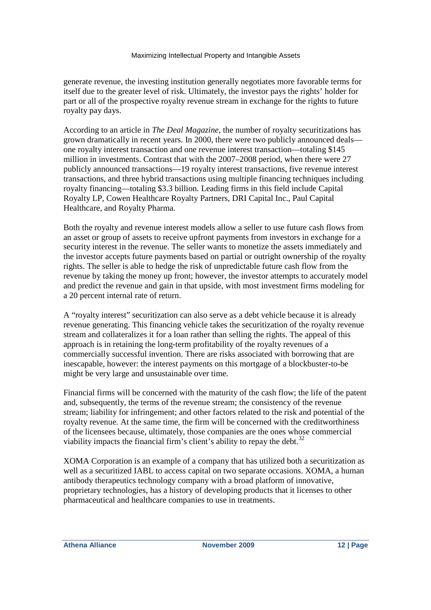generate revenue, the investing institution generally negotiates more favorable terms for itself due to the greater level of risk. Ultimately, the investor pays the rights' holder for part or all of the prospective royalty revenue stream in exchange for the rights to future royalty pay days.

According to an article in *The Deal Magazine*, the number of royalty securitizations has grown dramatically in recent years. In 2000, there were two publicly announced deals one royalty interest transaction and one revenue interest transaction—totaling \$145 million in investments. Contrast that with the 2007–2008 period, when there were 27 publicly announced transactions—19 royalty interest transactions, five revenue interest transactions, and three hybrid transactions using multiple financing techniques including royalty financing—totaling \$3.3 billion. Leading firms in this field include Capital Royalty LP, Cowen Healthcare Royalty Partners, DRI Capital Inc., Paul Capital Healthcare, and Royalty Pharma.

Both the royalty and revenue interest models allow a seller to use future cash flows from an asset or group of assets to receive upfront payments from investors in exchange for a security interest in the revenue. The seller wants to monetize the assets immediately and the investor accepts future payments based on partial or outright ownership of the royalty rights. The seller is able to hedge the risk of unpredictable future cash flow from the revenue by taking the money up front; however, the investor attempts to accurately model and predict the revenue and gain in that upside, with most investment firms modeling for a 20 percent internal rate of return.

A "royalty interest" securitization can also serve as a debt vehicle because it is already revenue generating. This financing vehicle takes the securitization of the royalty revenue stream and collateralizes it for a loan rather than selling the rights. The appeal of this approach is in retaining the long-term profitability of the royalty revenues of a commercially successful invention. There are risks associated with borrowing that are inescapable, however: the interest payments on this mortgage of a blockbuster-to-be might be very large and unsustainable over time.

Financial firms will be concerned with the maturity of the cash flow; the life of the patent and, subsequently, the terms of the revenue stream; the consistency of the revenue stream; liability for infringement; and other factors related to the risk and potential of the royalty revenue. At the same time, the firm will be concerned with the creditworthiness of the licensees because, ultimately, those companies are the ones whose commercial viability impacts the financial firm's client's ability to repay the debt.<sup>32</sup>

XOMA Corporation is an example of a company that has utilized both a securitization as well as a securitized IABL to access capital on two separate occasions. XOMA, a human antibody therapeutics technology company with a broad platform of innovative, proprietary technologies, has a history of developing products that it licenses to other pharmaceutical and healthcare companies to use in treatments.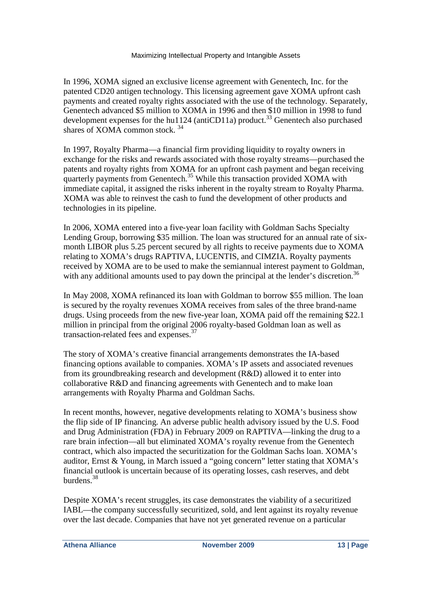In 1996, XOMA signed an exclusive license agreement with Genentech, Inc. for the patented CD20 antigen technology. This licensing agreement gave XOMA upfront cash payments and created royalty rights associated with the use of the technology. Separately, Genentech advanced \$5 million to XOMA in 1996 and then \$10 million in 1998 to fund development expenses for the hu1124 (antiCD11a) product.<sup>33</sup> Genentech also purchased shares of XOMA common stock.<sup>34</sup>

In 1997, Royalty Pharma—a financial firm providing liquidity to royalty owners in exchange for the risks and rewards associated with those royalty streams—purchased the patents and royalty rights from XOMA for an upfront cash payment and began receiving quarterly payments from Genentech.<sup>35</sup> While this transaction provided XOMA with immediate capital, it assigned the risks inherent in the royalty stream to Royalty Pharma. XOMA was able to reinvest the cash to fund the development of other products and technologies in its pipeline.

In 2006, XOMA entered into a five-year loan facility with Goldman Sachs Specialty Lending Group, borrowing \$35 million. The loan was structured for an annual rate of sixmonth LIBOR plus 5.25 percent secured by all rights to receive payments due to XOMA relating to XOMA's drugs RAPTIVA, LUCENTIS, and CIMZIA. Royalty payments received by XOMA are to be used to make the semiannual interest payment to Goldman, with any additional amounts used to pay down the principal at the lender's discretion.<sup>36</sup>

In May 2008, XOMA refinanced its loan with Goldman to borrow \$55 million. The loan is secured by the royalty revenues XOMA receives from sales of the three brand-name drugs. Using proceeds from the new five-year loan, XOMA paid off the remaining \$22.1 million in principal from the original 2006 royalty-based Goldman loan as well as transaction-related fees and expenses.<sup>37</sup>

The story of XOMA's creative financial arrangements demonstrates the IA-based financing options available to companies. XOMA's IP assets and associated revenues from its groundbreaking research and development (R&D) allowed it to enter into collaborative R&D and financing agreements with Genentech and to make loan arrangements with Royalty Pharma and Goldman Sachs.

In recent months, however, negative developments relating to XOMA's business show the flip side of IP financing. An adverse public health advisory issued by the U.S. Food and Drug Administration (FDA) in February 2009 on RAPTIVA—linking the drug to a rare brain infection—all but eliminated XOMA's royalty revenue from the Genentech contract, which also impacted the securitization for the Goldman Sachs loan. XOMA's auditor, Ernst & Young, in March issued a "going concern" letter stating that XOMA's financial outlook is uncertain because of its operating losses, cash reserves, and debt burdens.<sup>38</sup>

Despite XOMA's recent struggles, its case demonstrates the viability of a securitized IABL—the company successfully securitized, sold, and lent against its royalty revenue over the last decade. Companies that have not yet generated revenue on a particular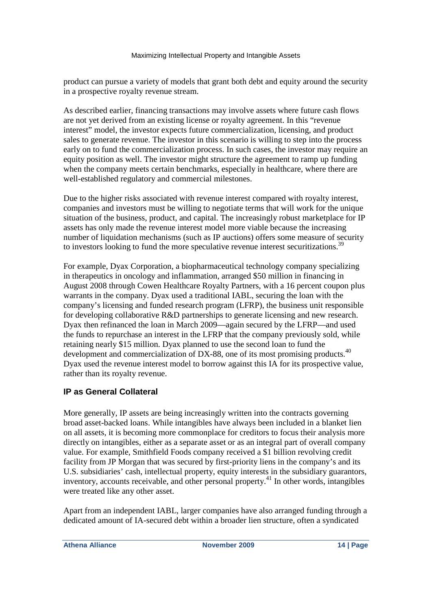product can pursue a variety of models that grant both debt and equity around the security in a prospective royalty revenue stream.

As described earlier, financing transactions may involve assets where future cash flows are not yet derived from an existing license or royalty agreement. In this "revenue interest" model, the investor expects future commercialization, licensing, and product sales to generate revenue. The investor in this scenario is willing to step into the process early on to fund the commercialization process. In such cases, the investor may require an equity position as well. The investor might structure the agreement to ramp up funding when the company meets certain benchmarks, especially in healthcare, where there are well-established regulatory and commercial milestones.

Due to the higher risks associated with revenue interest compared with royalty interest, companies and investors must be willing to negotiate terms that will work for the unique situation of the business, product, and capital. The increasingly robust marketplace for IP assets has only made the revenue interest model more viable because the increasing number of liquidation mechanisms (such as IP auctions) offers some measure of security to investors looking to fund the more speculative revenue interest securitizations.<sup>39</sup>

For example, Dyax Corporation, a biopharmaceutical technology company specializing in therapeutics in oncology and inflammation, arranged \$50 million in financing in August 2008 through Cowen Healthcare Royalty Partners, with a 16 percent coupon plus warrants in the company. Dyax used a traditional IABL, securing the loan with the company's licensing and funded research program (LFRP), the business unit responsible for developing collaborative R&D partnerships to generate licensing and new research. Dyax then refinanced the loan in March 2009—again secured by the LFRP—and used the funds to repurchase an interest in the LFRP that the company previously sold, while retaining nearly \$15 million. Dyax planned to use the second loan to fund the development and commercialization of DX-88, one of its most promising products.<sup>40</sup> Dyax used the revenue interest model to borrow against this IA for its prospective value, rather than its royalty revenue.

### **IP as General Collateral**

More generally, IP assets are being increasingly written into the contracts governing broad asset-backed loans. While intangibles have always been included in a blanket lien on all assets, it is becoming more commonplace for creditors to focus their analysis more directly on intangibles, either as a separate asset or as an integral part of overall company value. For example, Smithfield Foods company received a \$1 billion revolving credit facility from JP Morgan that was secured by first-priority liens in the company's and its U.S. subsidiaries' cash, intellectual property, equity interests in the subsidiary guarantors, inventory, accounts receivable, and other personal property.<sup>41</sup> In other words, intangibles were treated like any other asset.

Apart from an independent IABL, larger companies have also arranged funding through a dedicated amount of IA-secured debt within a broader lien structure, often a syndicated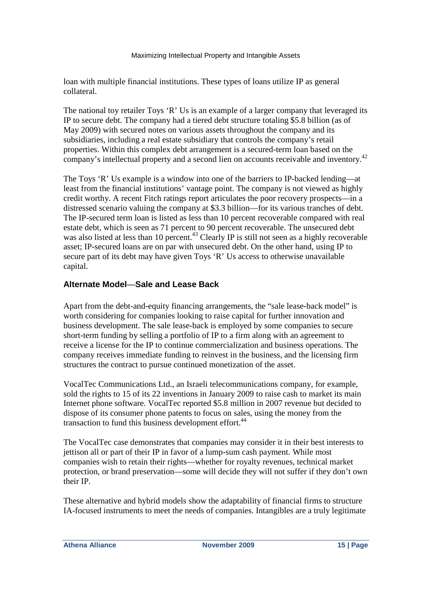loan with multiple financial institutions. These types of loans utilize IP as general collateral.

The national toy retailer Toys 'R' Us is an example of a larger company that leveraged its IP to secure debt. The company had a tiered debt structure totaling \$5.8 billion (as of May 2009) with secured notes on various assets throughout the company and its subsidiaries, including a real estate subsidiary that controls the company's retail properties. Within this complex debt arrangement is a secured-term loan based on the company's intellectual property and a second lien on accounts receivable and inventory.<sup>42</sup>

The Toys 'R' Us example is a window into one of the barriers to IP-backed lending—at least from the financial institutions' vantage point. The company is not viewed as highly credit worthy. A recent Fitch ratings report articulates the poor recovery prospects—in a distressed scenario valuing the company at \$3.3 billion—for its various tranches of debt. The IP-secured term loan is listed as less than 10 percent recoverable compared with real estate debt, which is seen as 71 percent to 90 percent recoverable. The unsecured debt was also listed at less than 10 percent.<sup>43</sup> Clearly IP is still not seen as a highly recoverable asset; IP-secured loans are on par with unsecured debt. On the other hand, using IP to secure part of its debt may have given Toys 'R' Us access to otherwise unavailable capital.

### **Alternate Model**—**Sale and Lease Back**

Apart from the debt-and-equity financing arrangements, the "sale lease-back model" is worth considering for companies looking to raise capital for further innovation and business development. The sale lease-back is employed by some companies to secure short-term funding by selling a portfolio of IP to a firm along with an agreement to receive a license for the IP to continue commercialization and business operations. The company receives immediate funding to reinvest in the business, and the licensing firm structures the contract to pursue continued monetization of the asset.

VocalTec Communications Ltd., an Israeli telecommunications company, for example, sold the rights to 15 of its 22 inventions in January 2009 to raise cash to market its main Internet phone software. VocalTec reported \$5.8 million in 2007 revenue but decided to dispose of its consumer phone patents to focus on sales, using the money from the transaction to fund this business development effort.<sup>44</sup>

The VocalTec case demonstrates that companies may consider it in their best interests to jettison all or part of their IP in favor of a lump-sum cash payment. While most companies wish to retain their rights—whether for royalty revenues, technical market protection, or brand preservation—some will decide they will not suffer if they don't own their IP.

These alternative and hybrid models show the adaptability of financial firms to structure IA-focused instruments to meet the needs of companies. Intangibles are a truly legitimate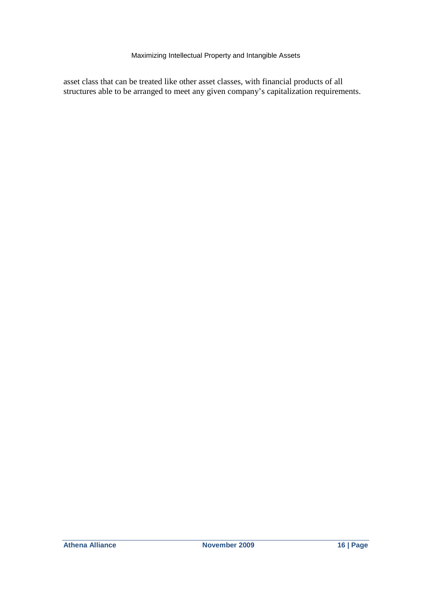asset class that can be treated like other asset classes, with financial products of all structures able to be arranged to meet any given company's capitalization requirements.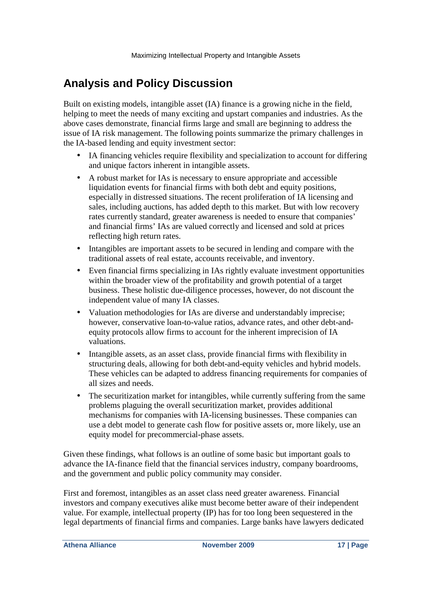# **Analysis and Policy Discussion**

Built on existing models, intangible asset (IA) finance is a growing niche in the field, helping to meet the needs of many exciting and upstart companies and industries. As the above cases demonstrate, financial firms large and small are beginning to address the issue of IA risk management. The following points summarize the primary challenges in the IA-based lending and equity investment sector:

- IA financing vehicles require flexibility and specialization to account for differing and unique factors inherent in intangible assets.
- A robust market for IAs is necessary to ensure appropriate and accessible liquidation events for financial firms with both debt and equity positions, especially in distressed situations. The recent proliferation of IA licensing and sales, including auctions, has added depth to this market. But with low recovery rates currently standard, greater awareness is needed to ensure that companies' and financial firms' IAs are valued correctly and licensed and sold at prices reflecting high return rates.
- Intangibles are important assets to be secured in lending and compare with the traditional assets of real estate, accounts receivable, and inventory.
- Even financial firms specializing in IAs rightly evaluate investment opportunities within the broader view of the profitability and growth potential of a target business. These holistic due-diligence processes, however, do not discount the independent value of many IA classes.
- Valuation methodologies for IAs are diverse and understandably imprecise; however, conservative loan-to-value ratios, advance rates, and other debt-andequity protocols allow firms to account for the inherent imprecision of IA valuations.
- Intangible assets, as an asset class, provide financial firms with flexibility in structuring deals, allowing for both debt-and-equity vehicles and hybrid models. These vehicles can be adapted to address financing requirements for companies of all sizes and needs.
- The securitization market for intangibles, while currently suffering from the same problems plaguing the overall securitization market, provides additional mechanisms for companies with IA-licensing businesses. These companies can use a debt model to generate cash flow for positive assets or, more likely, use an equity model for precommercial-phase assets.

Given these findings, what follows is an outline of some basic but important goals to advance the IA-finance field that the financial services industry, company boardrooms, and the government and public policy community may consider.

First and foremost, intangibles as an asset class need greater awareness. Financial investors and company executives alike must become better aware of their independent value. For example, intellectual property (IP) has for too long been sequestered in the legal departments of financial firms and companies. Large banks have lawyers dedicated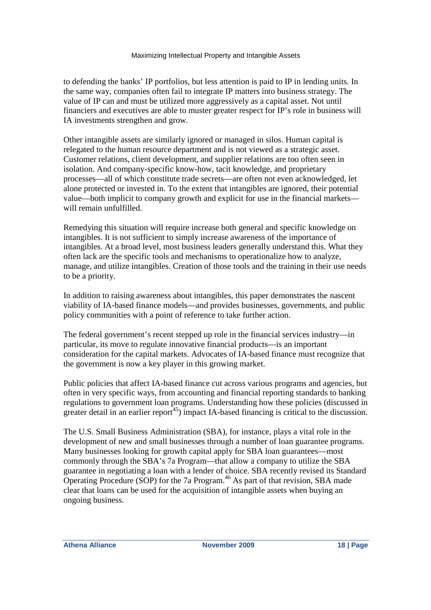to defending the banks' IP portfolios, but less attention is paid to IP in lending units. In the same way, companies often fail to integrate IP matters into business strategy. The value of IP can and must be utilized more aggressively as a capital asset. Not until financiers and executives are able to muster greater respect for IP's role in business will IA investments strengthen and grow.

Other intangible assets are similarly ignored or managed in silos. Human capital is relegated to the human resource department and is not viewed as a strategic asset. Customer relations, client development, and supplier relations are too often seen in isolation. And company-specific know-how, tacit knowledge, and proprietary processes—all of which constitute trade secrets—are often not even acknowledged, let alone protected or invested in. To the extent that intangibles are ignored, their potential value—both implicit to company growth and explicit for use in the financial markets will remain unfulfilled.

Remedying this situation will require increase both general and specific knowledge on intangibles. It is not sufficient to simply increase awareness of the importance of intangibles. At a broad level, most business leaders generally understand this. What they often lack are the specific tools and mechanisms to operationalize how to analyze, manage, and utilize intangibles. Creation of those tools and the training in their use needs to be a priority.

In addition to raising awareness about intangibles, this paper demonstrates the nascent viability of IA-based finance models—and provides businesses, governments, and public policy communities with a point of reference to take further action.

The federal government's recent stepped up role in the financial services industry—in particular, its move to regulate innovative financial products—is an important consideration for the capital markets. Advocates of IA-based finance must recognize that the government is now a key player in this growing market.

Public policies that affect IA-based finance cut across various programs and agencies, but often in very specific ways, from accounting and financial reporting standards to banking regulations to government loan programs. Understanding how these policies (discussed in greater detail in an earlier report<sup>45</sup>) impact IA-based financing is critical to the discussion.

The U.S. Small Business Administration (SBA), for instance, plays a vital role in the development of new and small businesses through a number of loan guarantee programs. Many businesses looking for growth capital apply for SBA loan guarantees—most commonly through the SBA's 7a Program—that allow a company to utilize the SBA guarantee in negotiating a loan with a lender of choice. SBA recently revised its Standard Operating Procedure (SOP) for the 7a Program.<sup>46</sup> As part of that revision, SBA made clear that loans can be used for the acquisition of intangible assets when buying an ongoing business.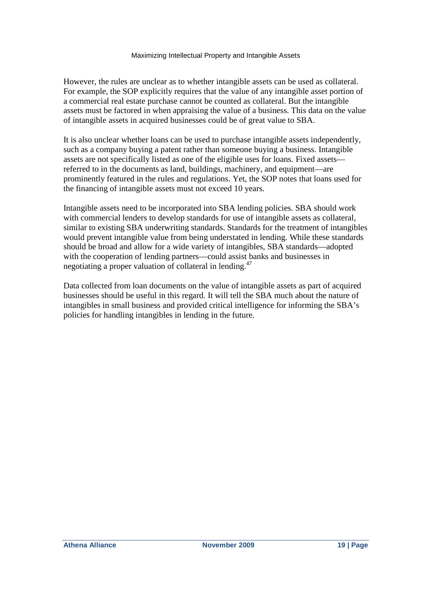However, the rules are unclear as to whether intangible assets can be used as collateral. For example, the SOP explicitly requires that the value of any intangible asset portion of a commercial real estate purchase cannot be counted as collateral. But the intangible assets must be factored in when appraising the value of a business. This data on the value of intangible assets in acquired businesses could be of great value to SBA.

It is also unclear whether loans can be used to purchase intangible assets independently, such as a company buying a patent rather than someone buying a business. Intangible assets are not specifically listed as one of the eligible uses for loans. Fixed assets referred to in the documents as land, buildings, machinery, and equipment—are prominently featured in the rules and regulations. Yet, the SOP notes that loans used for the financing of intangible assets must not exceed 10 years.

Intangible assets need to be incorporated into SBA lending policies. SBA should work with commercial lenders to develop standards for use of intangible assets as collateral, similar to existing SBA underwriting standards. Standards for the treatment of intangibles would prevent intangible value from being understated in lending. While these standards should be broad and allow for a wide variety of intangibles, SBA standards—adopted with the cooperation of lending partners—could assist banks and businesses in negotiating a proper valuation of collateral in lending.<sup>47</sup>

Data collected from loan documents on the value of intangible assets as part of acquired businesses should be useful in this regard. It will tell the SBA much about the nature of intangibles in small business and provided critical intelligence for informing the SBA's policies for handling intangibles in lending in the future.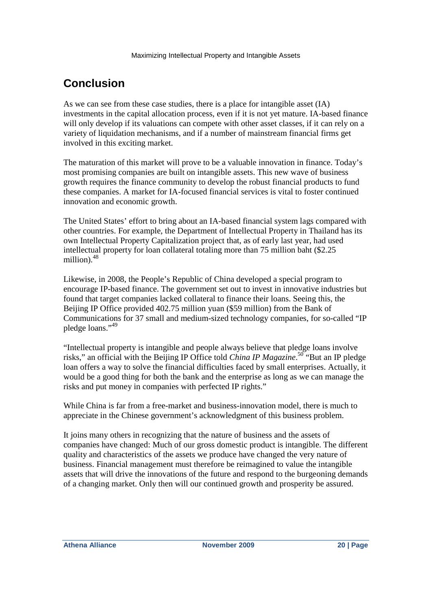# **Conclusion**

As we can see from these case studies, there is a place for intangible asset (IA) investments in the capital allocation process, even if it is not yet mature. IA-based finance will only develop if its valuations can compete with other asset classes, if it can rely on a variety of liquidation mechanisms, and if a number of mainstream financial firms get involved in this exciting market.

The maturation of this market will prove to be a valuable innovation in finance. Today's most promising companies are built on intangible assets. This new wave of business growth requires the finance community to develop the robust financial products to fund these companies. A market for IA-focused financial services is vital to foster continued innovation and economic growth.

The United States' effort to bring about an IA-based financial system lags compared with other countries. For example, the Department of Intellectual Property in Thailand has its own Intellectual Property Capitalization project that, as of early last year, had used intellectual property for loan collateral totaling more than 75 million baht (\$2.25 million).<sup>48</sup>

Likewise, in 2008, the People's Republic of China developed a special program to encourage IP-based finance. The government set out to invest in innovative industries but found that target companies lacked collateral to finance their loans. Seeing this, the Beijing IP Office provided 402.75 million yuan (\$59 million) from the Bank of Communications for 37 small and medium-sized technology companies, for so-called "IP pledge loans."<sup>49</sup>

"Intellectual property is intangible and people always believe that pledge loans involve risks," an official with the Beijing IP Office told *China IP Magazine*.<sup>50</sup> "But an IP pledge loan offers a way to solve the financial difficulties faced by small enterprises. Actually, it would be a good thing for both the bank and the enterprise as long as we can manage the risks and put money in companies with perfected IP rights."

While China is far from a free-market and business-innovation model, there is much to appreciate in the Chinese government's acknowledgment of this business problem.

It joins many others in recognizing that the nature of business and the assets of companies have changed: Much of our gross domestic product is intangible. The different quality and characteristics of the assets we produce have changed the very nature of business. Financial management must therefore be reimagined to value the intangible assets that will drive the innovations of the future and respond to the burgeoning demands of a changing market. Only then will our continued growth and prosperity be assured.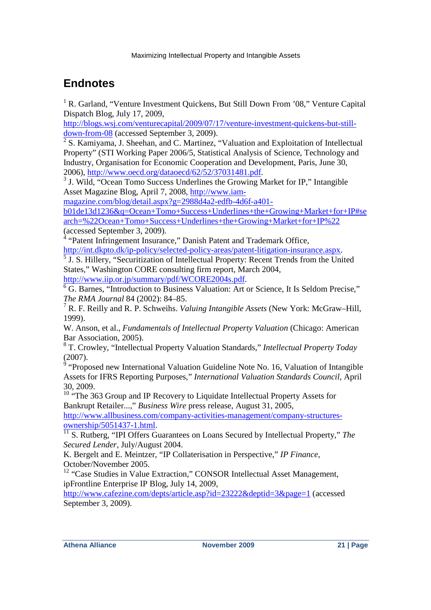# **Endnotes**

<sup>1</sup> R. Garland, "Venture Investment Quickens, But Still Down From '08," Venture Capital Dispatch Blog, July 17, 2009,

http://blogs.wsj.com/venturecapital/2009/07/17/venture-investment-quickens-but-stilldown-from-08 (accessed September 3, 2009).

 $2^2$  S. Kamiyama, J. Sheehan, and C. Martinez, "Valuation and Exploitation of Intellectual Property" (STI Working Paper 2006/5, Statistical Analysis of Science, Technology and Industry, Organisation for Economic Cooperation and Development, Paris, June 30, 2006), http://www.oecd.org/dataoecd/62/52/37031481.pdf.

<sup>3</sup> J. Wild, "Ocean Tomo Success Underlines the Growing Market for IP," Intangible Asset Magazine Blog, April 7, 2008, http://www.iam-

magazine.com/blog/detail.aspx?g=2988d4a2-edfb-4d6f-a401-

b01de13d1236&q=Ocean+Tomo+Success+Underlines+the+Growing+Market+for+IP#se arch=%22Ocean+Tomo+Success+Underlines+the+Growing+Market+for+IP%22 (accessed September 3, 2009).

<sup>4</sup> "Patent Infringement Insurance," Danish Patent and Trademark Office, http://int.dkpto.dk/ip-policy/selected-policy-areas/patent-litigation-insurance.aspx.

<sup>5</sup> J. S. Hillery, "Securitization of Intellectual Property: Recent Trends from the United States," Washington CORE consulting firm report, March 2004,

http://www.iip.or.jp/summary/pdf/WCORE2004s.pdf.

<sup>6</sup> G. Barnes, "Introduction to Business Valuation: Art or Science, It Is Seldom Precise," *The RMA Journal* 84 (2002): 84–85.

7 R. F. Reilly and R. P. Schweihs. *Valuing Intangible Assets* (New York: McGraw–Hill, 1999).

W. Anson, et al., *Fundamentals of Intellectual Property Valuation* (Chicago: American Bar Association, 2005).

8 T. Crowley, "Intellectual Property Valuation Standards," *Intellectual Property Today*  $(2007)$ .

 "Proposed new International Valuation Guideline Note No. 16, Valuation of Intangible Assets for IFRS Reporting Purposes," *International Valuation Standards Council,* April 30, 2009.

<sup>10</sup> "The 363 Group and IP Recovery to Liquidate Intellectual Property Assets for Bankrupt Retailer...," *Business Wire* press release, August 31, 2005,

http://www.allbusiness.com/company-activities-management/company-structuresownership/5051437-1.html.

<sup>11</sup> S. Rutberg, "IPI Offers Guarantees on Loans Secured by Intellectual Property," *The Secured Lender,* July/August 2004.

K. Bergelt and E. Meintzer, "IP Collaterisation in Perspective," *IP Finance,* October/November 2005.

<sup>12</sup> "Case Studies in Value Extraction," CONSOR Intellectual Asset Management, ipFrontline Enterprise IP Blog, July 14, 2009,

http://www.cafezine.com/depts/article.asp?id=23222&deptid=3&page=1 (accessed September 3, 2009).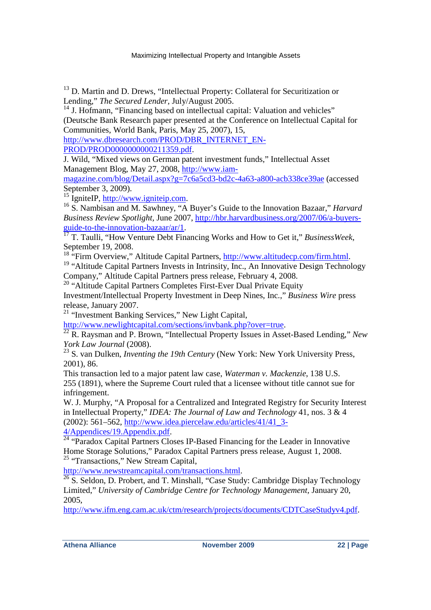<sup>13</sup> D. Martin and D. Drews, "Intellectual Property: Collateral for Securitization or Lending," *The Secured Lender,* July/August 2005.

<sup>14</sup> J. Hofmann, "Financing based on intellectual capital: Valuation and vehicles" (Deutsche Bank Research paper presented at the Conference on Intellectual Capital for Communities, World Bank, Paris, May 25, 2007), 15,

http://www.dbresearch.com/PROD/DBR\_INTERNET\_EN-

PROD/PROD0000000000211359.pdf.

J. Wild, "Mixed views on German patent investment funds," Intellectual Asset Management Blog, May 27, 2008, http://www.iam-

magazine.com/blog/Detail.aspx?g=7c6a5cd3-bd2c-4a63-a800-acb338ce39ae (accessed September 3, 2009).

<sup>15</sup> IgniteIP, http://www.igniteip.com.

<sup>16</sup> S. Nambisan and M. Sawhney, "A Buyer's Guide to the Innovation Bazaar," *Harvard Business Review Spotlight,* June 2007, http://hbr.harvardbusiness.org/2007/06/a-buyersguide-to-the-innovation-bazaar/ar/1.

<sup>17</sup> T. Taulli, "How Venture Debt Financing Works and How to Get it," *BusinessWeek*, September 19, 2008.

<sup>18</sup> "Firm Overview," Altitude Capital Partners, http://www.altitudecp.com/firm.html.

<sup>19</sup> "Altitude Capital Partners Invests in Intrinsity, Inc., An Innovative Design Technology Company," Altitude Capital Partners press release, February 4, 2008.

<sup>20</sup> "Altitude Capital Partners Completes First-Ever Dual Private Equity

Investment/Intellectual Property Investment in Deep Nines, Inc.," *Business Wire* press release, January 2007.

<sup>21</sup> "Investment Banking Services," New Light Capital,

http://www.newlightcapital.com/sections/invbank.php?over=true.

<sup>22</sup> R. Raysman and P. Brown, "Intellectual Property Issues in Asset-Based Lending," *New York Law Journal* (2008).

<sup>23</sup> S. van Dulken, *Inventing the 19th Century* (New York: New York University Press, 2001), 86.

This transaction led to a major patent law case, *Waterman v. Mackenzie*, 138 U.S. 255 (1891), where the Supreme Court ruled that a licensee without title cannot sue for infringement.

W. J. Murphy, "A Proposal for a Centralized and Integrated Registry for Security Interest in Intellectual Property," *IDEA: The Journal of Law and Technology* 41, nos. 3 & 4 (2002): 561–562, http://www.idea.piercelaw.edu/articles/41/41\_3- 4/Appendices/19.Appendix.pdf.

<sup>24</sup> "Paradox Capital Partners Closes IP-Based Financing for the Leader in Innovative Home Storage Solutions," Paradox Capital Partners press release, August 1, 2008. <sup>25</sup> "Transactions," New Stream Capital,

http://www.newstreamcapital.com/transactions.html.

 $\frac{26}{3}$  S. Seldon, D. Probert, and T. Minshall, "Case Study: Cambridge Display Technology Limited," *University of Cambridge Centre for Technology Management,* January 20, 2005,

http://www.ifm.eng.cam.ac.uk/ctm/research/projects/documents/CDTCaseStudyv4.pdf.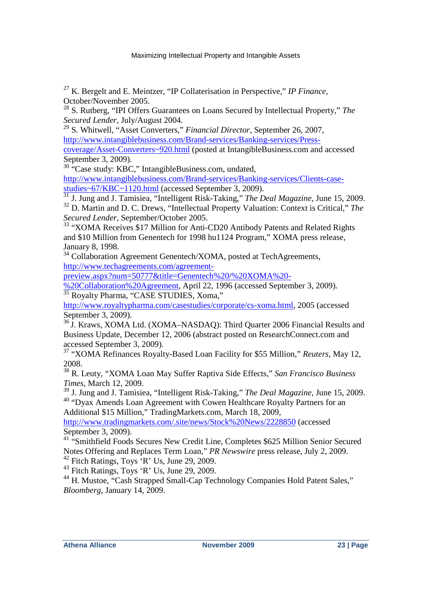<sup>27</sup> K. Bergelt and E. Meintzer, "IP Collaterisation in Perspective," *IP Finance,* October/November 2005.

<sup>28</sup> S. Rutberg, "IPI Offers Guarantees on Loans Secured by Intellectual Property," *The Secured Lender,* July/August 2004.

<sup>29</sup> S. Whitwell, "Asset Converters," *Financial Director*, September 26, 2007, http://www.intangiblebusiness.com/Brand-services/Banking-services/Press-

coverage/Asset-Converters~920.html (posted at IntangibleBusiness.com and accessed September 3, 2009).

<sup>30</sup> "Case study: KBC," IntangibleBusiness.com, undated,

http://www.intangiblebusiness.com/Brand-services/Banking-services/Clients-casestudies~67/KBC~1120.html (accessed September 3, 2009).

<sup>31</sup> J. Jung and J. Tamisiea, "Intelligent Risk-Taking," *The Deal Magazine,* June 15, 2009.

<sup>32</sup> D. Martin and D. C. Drews, "Intellectual Property Valuation: Context is Critical," *The Secured Lender,* September/October 2005.

<sup>33</sup> "XOMA Receives \$17 Million for Anti-CD20 Antibody Patents and Related Rights and \$10 Million from Genentech for 1998 hu1124 Program," XOMA press release, January 8, 1998.

<sup>34</sup> Collaboration Agreement Genentech/XOMA, posted at TechAgreements, http://www.techagreements.com/agreement-

preview.aspx?num=50777&title=Genentech%20/%20XOMA%20-

%20Collaboration%20Agreement, April 22, 1996 (accessed September 3, 2009). <sup>35</sup> Royalty Pharma, "CASE STUDIES, Xoma,"

http://www.royaltypharma.com/casestudies/corporate/cs-xoma.html, 2005 (accessed September 3, 2009).

<sup>36</sup> J. Kraws, XOMA Ltd. (XOMA–NASDAO): Third Quarter 2006 Financial Results and Business Update, December 12, 2006 (abstract posted on ResearchConnect.com and accessed September 3, 2009).

<sup>37</sup> "XOMA Refinances Royalty-Based Loan Facility for \$55 Million," *Reuters,* May 12, 2008.

<sup>38</sup> R. Leuty, "XOMA Loan May Suffer Raptiva Side Effects," *San Francisco Business Times,* March 12, 2009.

<sup>39</sup> J. Jung and J. Tamisiea, "Intelligent Risk-Taking," *The Deal Magazine*, June 15, 2009. <sup>40</sup> "Dyax Amends Loan Agreement with Cowen Healthcare Royalty Partners for an

Additional \$15 Million," TradingMarkets.com, March 18, 2009,

http://www.tradingmarkets.com/.site/news/Stock%20News/2228850 (accessed September 3, 2009).

<sup>41</sup> "Smithfield Foods Secures New Credit Line, Completes \$625 Million Senior Secured Notes Offering and Replaces Term Loan," *PR Newswire* press release, July 2, 2009.

 $42$  Fitch Ratings, Toys 'R' Us, June 29, 2009.

<sup>43</sup> Fitch Ratings, Toys 'R' Us, June 29, 2009.

<sup>44</sup> H. Mustoe, "Cash Strapped Small-Cap Technology Companies Hold Patent Sales," *Bloomberg*, January 14, 2009.